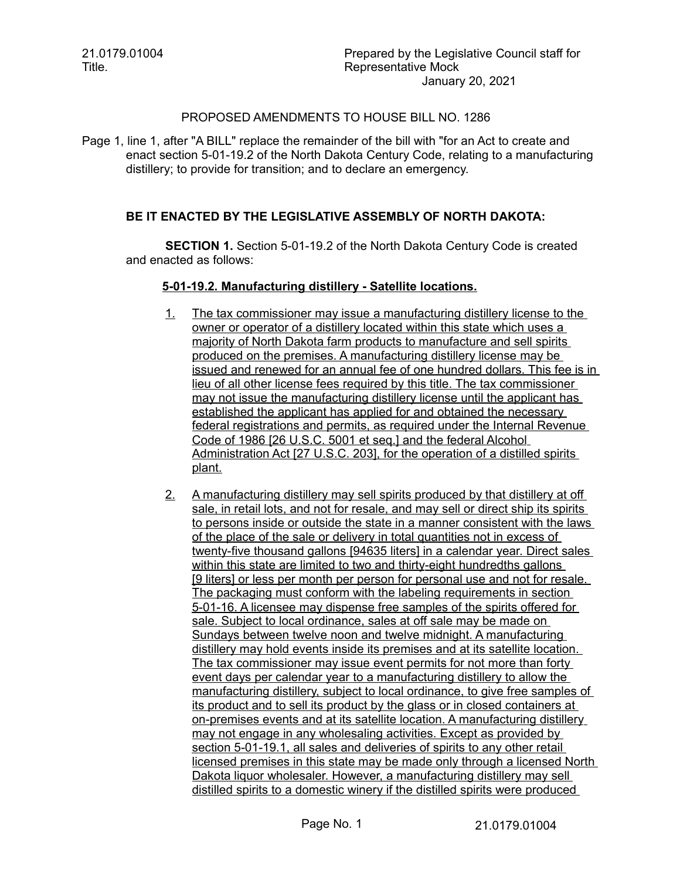21.0179.01004 Title.

## PROPOSED AMENDMENTS TO HOUSE BILL NO. 1286

Page 1, line 1, after "A BILL" replace the remainder of the bill with "for an Act to create and enact section 5-01-19.2 of the North Dakota Century Code, relating to a manufacturing distillery; to provide for transition; and to declare an emergency.

## **BE IT ENACTED BY THE LEGISLATIVE ASSEMBLY OF NORTH DAKOTA:**

**SECTION 1.** Section 5-01-19.2 of the North Dakota Century Code is created and enacted as follows:

## **5 - 01 - 19.2. Manufacturing distillery - Satellite locations.**

- 1. The tax commissioner may issue a manufacturing distillery license to the owner or operator of a distillery located within this state which uses a majority of North Dakota farm products to manufacture and sell spirits produced on the premises. A manufacturing distillery license may be issued and renewed for an annual fee of one hundred dollars. This fee is in lieu of all other license fees required by this title. The tax commissioner may not issue the manufacturing distillery license until the applicant has established the applicant has applied for and obtained the necessary federal registrations and permits, as required under the Internal Revenue Code of 1986 [26 U.S.C. 5001 et seq.] and the federal Alcohol Administration Act [27 U.S.C. 203], for the operation of a distilled spirits plant.
- 2. A manufacturing distillery may sell spirits produced by that distillery at off sale, in retail lots, and not for resale, and may sell or direct ship its spirits to persons inside or outside the state in a manner consistent with the laws of the place of the sale or delivery in total quantities not in excess of twenty-five thousand gallons [94635 liters] in a calendar year. Direct sales within this state are limited to two and thirty-eight hundredths gallons [9 liters] or less per month per person for personal use and not for resale. The packaging must conform with the labeling requirements in section 5 - 01 - 16. A licensee may dispense free samples of the spirits offered for sale. Subject to local ordinance, sales at off sale may be made on Sundays between twelve noon and twelve midnight. A manufacturing distillery may hold events inside its premises and at its satellite location. The tax commissioner may issue event permits for not more than forty event days per calendar year to a manufacturing distillery to allow the manufacturing distillery, subject to local ordinance, to give free samples of its product and to sell its product by the glass or in closed containers at on-premises events and at its satellite location. A manufacturing distillery may not engage in any wholesaling activities. Except as provided by section 5-01-19.1, all sales and deliveries of spirits to any other retail licensed premises in this state may be made only through a licensed North Dakota liquor wholesaler. However, a manufacturing distillery may sell distilled spirits to a domestic winery if the distilled spirits were produced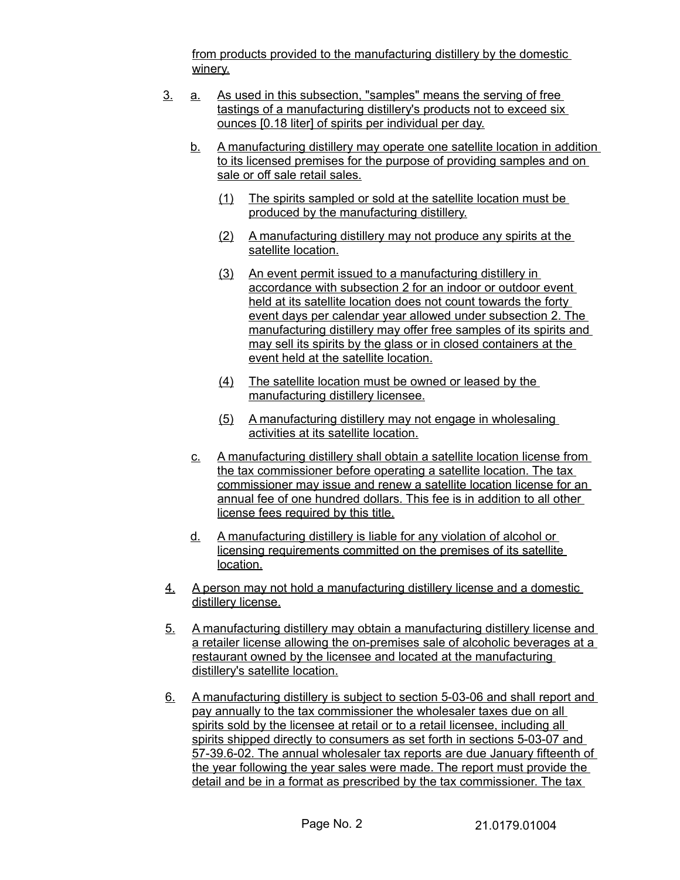from products provided to the manufacturing distillery by the domestic winery.

- 3. a. As used in this subsection, "samples" means the serving of free tastings of a manufacturing distillery's products not to exceed six ounces [0.18 liter] of spirits per individual per day.
	- b. A manufacturing distillery may operate one satellite location in addition to its licensed premises for the purpose of providing samples and on sale or off sale retail sales.
		- (1) The spirits sampled or sold at the satellite location must be produced by the manufacturing distillery.
		- (2) A manufacturing distillery may not produce any spirits at the satellite location.
		- (3) An event permit issued to a manufacturing distillery in accordance with subsection 2 for an indoor or outdoor event held at its satellite location does not count towards the forty event days per calendar year allowed under subsection 2. The manufacturing distillery may offer free samples of its spirits and may sell its spirits by the glass or in closed containers at the event held at the satellite location.
		- (4) The satellite location must be owned or leased by the manufacturing distillery licensee.
		- (5) A manufacturing distillery may not engage in wholesaling activities at its satellite location.
	- c. A manufacturing distillery shall obtain a satellite location license from the tax commissioner before operating a satellite location. The tax commissioner may issue and renew a satellite location license for an annual fee of one hundred dollars. This fee is in addition to all other license fees required by this title.
	- d. A manufacturing distillery is liable for any violation of alcohol or licensing requirements committed on the premises of its satellite location.
- 4. A person may not hold a manufacturing distillery license and a domestic distillery license.
- 5. A manufacturing distillery may obtain a manufacturing distillery license and a retailer license allowing the on-premises sale of alcoholic beverages at a restaurant owned by the licensee and located at the manufacturing distillery's satellite location.
- 6. A manufacturing distillery is subject to section 5-03-06 and shall report and pay annually to the tax commissioner the wholesaler taxes due on all spirits sold by the licensee at retail or to a retail licensee, including all spirits shipped directly to consumers as set forth in sections 5-03-07 and 57-39.6-02. The annual wholesaler tax reports are due January fifteenth of the year following the year sales were made. The report must provide the detail and be in a format as prescribed by the tax commissioner. The tax